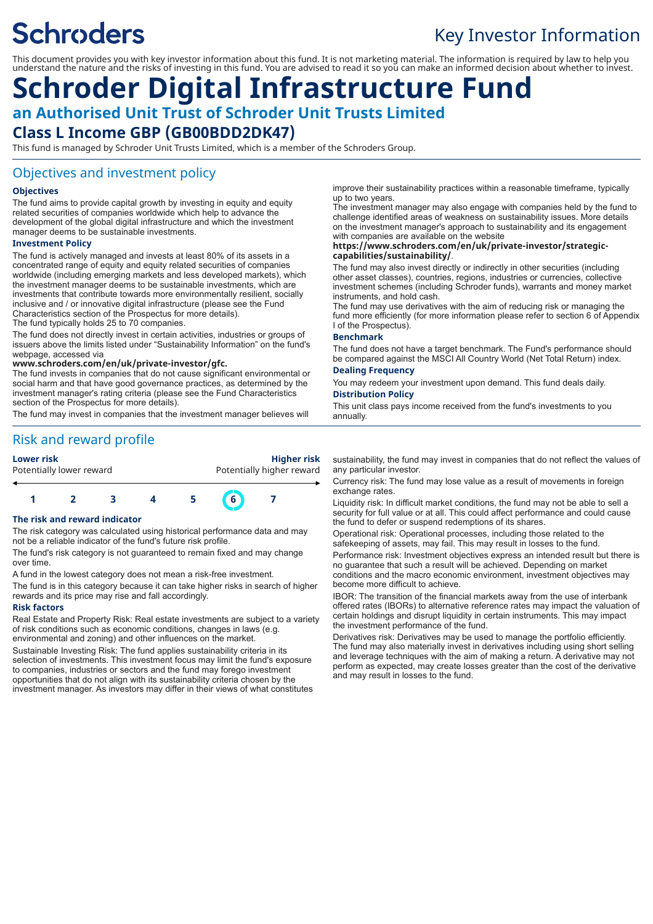# **Schroders**

## Key Investor Information

This document provides you with key investor information about this fund. It is not marketing material. The information is required by law to help you understand the nature and the risks of investing in this fund. You are advised to read it so you can make an informed decision about whether to invest.

## **Schroder Digital Infrastructure Fund an Authorised Unit Trust of Schroder Unit Trusts Limited Class L Income GBP (GB00BDD2DK47)**

This fund is managed by Schroder Unit Trusts Limited, which is a member of the Schroders Group.

#### Objectives and investment policy

#### **Objectives**

The fund aims to provide capital growth by investing in equity and equity related securities of companies worldwide which help to advance the development of the global digital infrastructure and which the investment manager deems to be sustainable investments.

#### **Investment Policy**

The fund is actively managed and invests at least 80% of its assets in a concentrated range of equity and equity related securities of companies worldwide (including emerging markets and less developed markets), which the investment manager deems to be sustainable investments, which are investments that contribute towards more environmentally resilient, socially inclusive and / or innovative digital infrastructure (please see the Fund Characteristics section of the Prospectus for more details).

The fund typically holds 25 to 70 companies.

The fund does not directly invest in certain activities, industries or groups of issuers above the limits listed under "Sustainability Information" on the fund's webpage, accessed via

#### **www.schroders.com/en/uk/private-investor/gfc.**

The fund invests in companies that do not cause significant environmental or social harm and that have good governance practices, as determined by the investment manager's rating criteria (please see the Fund Characteristics section of the Prospectus for more details).

The fund may invest in companies that the investment manager believes will

Risk and reward profile

#### **Lower risk Higher risk**

| .                        |                           |
|--------------------------|---------------------------|
| Potentially lower reward | Potentially higher reward |
|                          |                           |



#### **The risk and reward indicator**

The risk category was calculated using historical performance data and may not be a reliable indicator of the fund's future risk profile.

The fund's risk category is not guaranteed to remain fixed and may change over time.

A fund in the lowest category does not mean a risk-free investment.

The fund is in this category because it can take higher risks in search of higher rewards and its price may rise and fall accordingly.

#### **Risk factors**

Real Estate and Property Risk: Real estate investments are subject to a variety of risk conditions such as economic conditions, changes in laws (e.g. environmental and zoning) and other influences on the market.

Sustainable Investing Risk: The fund applies sustainability criteria in its selection of investments. This investment focus may limit the fund's exposure to companies, industries or sectors and the fund may forego investment opportunities that do not align with its sustainability criteria chosen by the investment manager. As investors may differ in their views of what constitutes improve their sustainability practices within a reasonable timeframe, typically up to two years.

The investment manager may also engage with companies held by the fund to challenge identified areas of weakness on sustainability issues. More details on the investment manager's approach to sustainability and its engagement with companies are available on the website

#### **https://www.schroders.com/en/uk/private-investor/strategiccapabilities/sustainability/**.

The fund may also invest directly or indirectly in other securities (including other asset classes), countries, regions, industries or currencies, collective investment schemes (including Schroder funds), warrants and money market instruments, and hold cash.

The fund may use derivatives with the aim of reducing risk or managing the fund more efficiently (for more information please refer to section 6 of Appendix I of the Prospectus).

#### **Benchmark**

The fund does not have a target benchmark. The Fund's performance should be compared against the MSCI All Country World (Net Total Return) index.

#### **Dealing Frequency**

You may redeem your investment upon demand. This fund deals daily. **Distribution Policy**

This unit class pays income received from the fund's investments to you annually.

sustainability, the fund may invest in companies that do not reflect the values of any particular investor.

Currency risk: The fund may lose value as a result of movements in foreign exchange rates.

Liquidity risk: In difficult market conditions, the fund may not be able to sell a security for full value or at all. This could affect performance and could cause the fund to defer or suspend redemptions of its shares.

Operational risk: Operational processes, including those related to the safekeeping of assets, may fail. This may result in losses to the fund. Performance risk: Investment objectives express an intended result but there is no guarantee that such a result will be achieved. Depending on market conditions and the macro economic environment, investment objectives may become more difficult to achieve.

IBOR: The transition of the financial markets away from the use of interbank offered rates (IBORs) to alternative reference rates may impact the valuation of certain holdings and disrupt liquidity in certain instruments. This may impact the investment performance of the fund.

Derivatives risk: Derivatives may be used to manage the portfolio efficiently. The fund may also materially invest in derivatives including using short selling and leverage techniques with the aim of making a return. A derivative may not perform as expected, may create losses greater than the cost of the derivative and may result in losses to the fund.